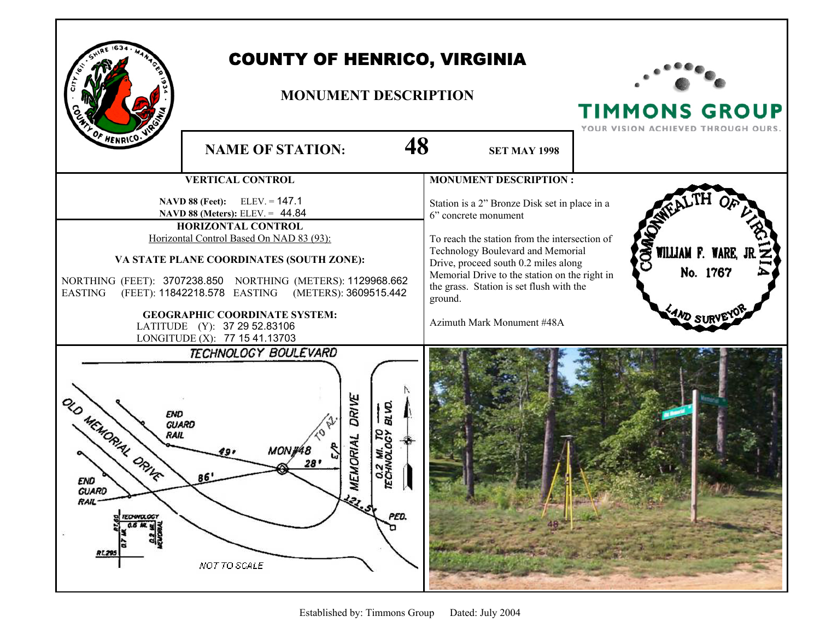

## COUNTY OF HENRICO, VIRGINIA

## **MONUMENT DESCRIPTION**



**TIMMONS GROUP** 

|                                                                                                                                                                                                                                                                                                                                | YOUR VISION ACHIEVED THROUGH OURS.                                                                                                                                                                                                                                                                                                                    |
|--------------------------------------------------------------------------------------------------------------------------------------------------------------------------------------------------------------------------------------------------------------------------------------------------------------------------------|-------------------------------------------------------------------------------------------------------------------------------------------------------------------------------------------------------------------------------------------------------------------------------------------------------------------------------------------------------|
| OF HENRICO.<br>48<br><b>NAME OF STATION:</b>                                                                                                                                                                                                                                                                                   | <b>SET MAY 1998</b>                                                                                                                                                                                                                                                                                                                                   |
| <b>VERTICAL CONTROL</b>                                                                                                                                                                                                                                                                                                        | <b>MONUMENT DESCRIPTION:</b>                                                                                                                                                                                                                                                                                                                          |
| <b>NAVD 88 (Feet):</b> ELEV. = $147.1$<br>NAVD 88 (Meters): ELEV. = 44.84<br>HORIZONTAL CONTROL<br>Horizontal Control Based On NAD 83 (93):<br>VA STATE PLANE COORDINATES (SOUTH ZONE):<br>NORTHING (FEET): 3707238.850 NORTHING (METERS): 1129968.662<br>(FEET): 11842218.578 EASTING (METERS): 3609515.442<br><b>EASTING</b> | Station is a 2" Bronze Disk set in place in a<br>6" concrete monument<br>COMMOT<br>To reach the station from the intersection of<br>WILLIAM F. WARE,<br>Technology Boulevard and Memorial<br>Drive, proceed south 0.2 miles along<br>No. 1767<br>Memorial Drive to the station on the right in<br>the grass. Station is set flush with the<br>ground. |
| <b>GEOGRAPHIC COORDINATE SYSTEM:</b><br>LATITUDE (Y): 37 29 52.83106<br>LONGITUDE (X): 77 15 41.13703                                                                                                                                                                                                                          | AND SURV<br>Azimuth Mark Monument #48A                                                                                                                                                                                                                                                                                                                |
| TECHNOLOGY BOULEVARD<br><b>DRIVE</b><br>OLD MEMORIAL DRIVE<br>BLVD.<br>END<br><b>GUARD</b><br>0.2 MI. TO<br>TECHNOLOGY<br><b>RAIL</b><br>MEMORIAL<br>MONH4<br><b>GUARD</b><br><b>RAIL</b><br>PED.<br>NOT TO SCALE                                                                                                              |                                                                                                                                                                                                                                                                                                                                                       |